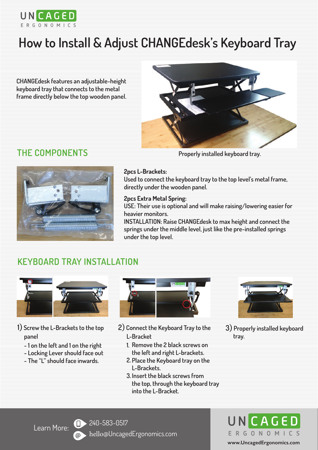

## **How to Install & Adjust CHANGEdesk's Keyboard Tray**

**CHANGEdesk features an adjustable-height keyboard tray that connects to the metal frame directly below the top wooden panel.**



## **THE COMPONENTS Properly installed keyboard tray.**



#### **2pcs L-Brackets:**

**Used to connect the keyboard tray to the top level's metal frame, directly under the wooden panel.**

#### **2pcs Extra Metal Spring:**

**USE: Their use is optional and will make raising/lowering easier for heavier monitors.**

**INSTALLATION: Raise CHANGEdesk to max height and connect the springs under the middle level, just like the pre-installed springs under the top level.**

### **KEYBOARD TRAY INSTALLATION**



- **panel**
	- **1 on the left and 1 on the right**
	- **Locking Lever should face out**
	- **The "L" should face inwards.**



- **1**) **Screw the L-Brackets to the top 2**) **Connect the Keyboard Tray to the 3**) **Properly installed keyboard L-Bracket**
	- **Remove the 2 black screws on 1. the left and right L-brackets.**
	- **Place the Keyboard tray on the 2. L-Brackets.**
	- **Insert the black screws from 3. the top, through the keyboard tray into the L-Bracket.**



 **tray.**

Learn More: **1.** 240-583-0517 hello@UncagedErgonomics.com

CAGED ERGONOMICS **www.UncagedErgonomics.com**